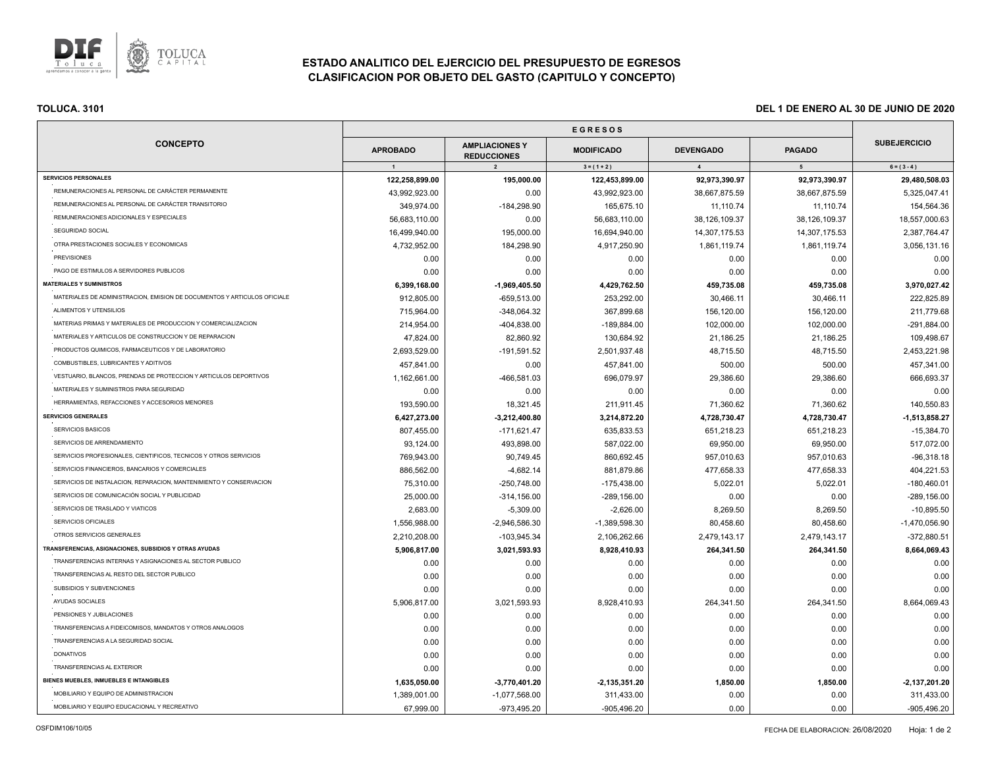

# **ESTADO ANALITICO DEL EJERCICIO DEL PRESUPUESTO DE EGRESOS CLASIFICACION POR OBJETO DEL GASTO (CAPITULO Y CONCEPTO)**

| <b>CONCEPTO</b>                                                          |                 |                                             |                   |                  |                |                     |
|--------------------------------------------------------------------------|-----------------|---------------------------------------------|-------------------|------------------|----------------|---------------------|
|                                                                          | <b>APROBADO</b> | <b>AMPLIACIONES Y</b><br><b>REDUCCIONES</b> | <b>MODIFICADO</b> | <b>DEVENGADO</b> | <b>PAGADO</b>  | <b>SUBEJERCICIO</b> |
|                                                                          | $\overline{1}$  | $\overline{2}$                              | $3 = (1 + 2)$     | $\overline{4}$   | 5 <sub>5</sub> | $6 = (3 - 4)$       |
| <b>SERVICIOS PERSONALES</b>                                              | 122,258,899.00  | 195,000.00                                  | 122,453,899.00    | 92,973,390.97    | 92,973,390.97  | 29,480,508.03       |
| REMUNERACIONES AL PERSONAL DE CARÁCTER PERMANENTE                        | 43,992,923.00   | 0.00                                        | 43,992,923.00     | 38,667,875.59    | 38,667,875.59  | 5,325,047.41        |
| REMUNERACIONES AL PERSONAL DE CARÁCTER TRANSITORIO                       | 349.974.00      | $-184,298.90$                               | 165,675.10        | 11,110.74        | 11,110.74      | 154,564.36          |
| REMUNERACIONES ADICIONALES Y ESPECIALES                                  | 56,683,110.00   | 0.00                                        | 56,683,110.00     | 38,126,109.37    | 38,126,109.37  | 18,557,000.63       |
| SEGURIDAD SOCIAL                                                         | 16,499,940.00   | 195,000.00                                  | 16,694,940.00     | 14,307,175.53    | 14,307,175.53  | 2,387,764.47        |
| OTRA PRESTACIONES SOCIALES Y ECONOMICAS                                  | 4,732,952.00    | 184,298.90                                  | 4,917,250.90      | 1,861,119.74     | 1,861,119.74   | 3,056,131.16        |
| <b>PREVISIONES</b>                                                       | 0.00            | 0.00                                        | 0.00              | 0.00             | 0.00           | 0.00                |
| PAGO DE ESTIMULOS A SERVIDORES PUBLICOS                                  | 0.00            | 0.00                                        | 0.00              | 0.00             | 0.00           | 0.00                |
| <b>MATERIALES Y SUMINISTROS</b>                                          | 6,399,168.00    | $-1,969,405.50$                             | 4,429,762.50      | 459,735.08       | 459,735.08     | 3,970,027.42        |
| MATERIALES DE ADMINISTRACION, EMISION DE DOCUMENTOS Y ARTICULOS OFICIALE | 912,805.00      | $-659,513.00$                               | 253,292.00        | 30,466.11        | 30,466.11      | 222,825.89          |
| ALIMENTOS Y UTENSILIOS                                                   | 715,964.00      | -348,064.32                                 | 367,899.68        | 156,120.00       | 156,120.00     | 211,779.68          |
| MATERIAS PRIMAS Y MATERIALES DE PRODUCCION Y COMERCIALIZACION            | 214.954.00      | -404,838.00                                 | -189,884.00       | 102,000.00       | 102,000.00     | -291,884.00         |
| MATERIALES Y ARTICULOS DE CONSTRUCCION Y DE REPARACION                   | 47,824.00       | 82,860.92                                   | 130,684.92        | 21,186.25        | 21,186.25      | 109,498.67          |
| PRODUCTOS QUIMICOS, FARMACEUTICOS Y DE LABORATORIO                       | 2,693,529.00    | -191,591.52                                 | 2,501,937.48      | 48,715.50        | 48,715.50      | 2,453,221.98        |
| COMBUSTIBLES, LUBRICANTES Y ADITIVOS                                     | 457,841.00      | 0.00                                        | 457,841.00        | 500.00           | 500.00         | 457,341.00          |
| VESTUARIO, BLANCOS, PRENDAS DE PROTECCION Y ARTICULOS DEPORTIVOS         | 1,162,661.00    | -466,581.03                                 | 696,079.97        | 29,386.60        | 29,386.60      | 666,693.37          |
| MATERIALES Y SUMINISTROS PARA SEGURIDAD                                  | 0.00            | 0.00                                        | 0.00              | 0.00             | 0.00           | 0.00                |
| HERRAMIENTAS, REFACCIONES Y ACCESORIOS MENORES                           | 193,590.00      | 18,321.45                                   | 211,911.45        | 71,360.62        | 71,360.62      | 140,550.83          |
| <b>SERVICIOS GENERALES</b>                                               | 6,427,273.00    | $-3,212,400.80$                             | 3,214,872.20      | 4,728,730.47     | 4,728,730.47   | $-1,513,858.27$     |
| SERVICIOS BASICOS                                                        | 807,455.00      | $-171,621.47$                               | 635,833.53        | 651,218.23       | 651,218.23     | $-15,384.70$        |
| SERVICIOS DE ARRENDAMIENTO                                               | 93,124.00       | 493,898.00                                  | 587,022.00        | 69,950.00        | 69,950.00      | 517,072.00          |
| SERVICIOS PROFESIONALES, CIENTIFICOS, TECNICOS Y OTROS SERVICIOS         | 769,943.00      | 90,749.45                                   | 860,692.45        | 957,010.63       | 957,010.63     | $-96,318.18$        |
| SERVICIOS FINANCIEROS, BANCARIOS Y COMERCIALES                           | 886,562.00      | $-4,682.14$                                 | 881,879.86        | 477,658.33       | 477,658.33     | 404,221.53          |
| SERVICIOS DE INSTALACION, REPARACION, MANTENIMIENTO Y CONSERVACION       | 75,310.00       | $-250,748.00$                               | -175,438.00       | 5,022.01         | 5,022.01       | $-180,460.01$       |
| SERVICIOS DE COMUNICACIÓN SOCIAL Y PUBLICIDAD                            | 25,000.00       | $-314, 156.00$                              | $-289, 156.00$    | 0.00             | 0.00           | $-289,156.00$       |
| SERVICIOS DE TRASLADO Y VIATICOS                                         | 2.683.00        | $-5,309.00$                                 | $-2,626.00$       | 8,269.50         | 8,269.50       | $-10,895.50$        |
| SERVICIOS OFICIALES                                                      | 1,556,988.00    | $-2,946,586.30$                             | -1,389,598.30     | 80,458.60        | 80,458.60      | $-1,470,056.90$     |
| OTROS SERVICIOS GENERALES                                                | 2,210,208.00    | -103,945.34                                 | 2,106,262.66      | 2,479,143.17     | 2,479,143.17   | $-372,880.51$       |
| TRANSFERENCIAS, ASIGNACIONES, SUBSIDIOS Y OTRAS AYUDAS                   | 5,906,817.00    | 3,021,593.93                                | 8,928,410.93      | 264,341.50       | 264,341.50     | 8,664,069.43        |
| TRANSFERENCIAS INTERNAS Y ASIGNACIONES AL SECTOR PUBLICO                 | 0.00            | 0.00                                        | 0.00              | 0.00             | 0.00           | 0.00                |
| TRANSFERENCIAS AL RESTO DEL SECTOR PUBLICO                               | 0.00            | 0.00                                        | 0.00              | 0.00             | 0.00           | 0.00                |
| SUBSIDIOS Y SUBVENCIONES                                                 | 0.00            | 0.00                                        | 0.00              | 0.00             | 0.00           | 0.00                |
| AYUDAS SOCIALES                                                          | 5,906,817.00    | 3,021,593.93                                | 8,928,410.93      | 264,341.50       | 264,341.50     | 8,664,069.43        |
| PENSIONES Y JUBILACIONES                                                 | 0.00            | 0.00                                        | 0.00              | 0.00             | 0.00           | 0.00                |
| TRANSFERENCIAS A FIDEICOMISOS, MANDATOS Y OTROS ANALOGOS                 | 0.00            | 0.00                                        | 0.00              | 0.00             | 0.00           | 0.00                |
| TRANSFERENCIAS A LA SEGURIDAD SOCIAL                                     | 0.00            | 0.00                                        | 0.00              | 0.00             | 0.00           | 0.00                |
| <b>DONATIVOS</b>                                                         | 0.00            | 0.00                                        | 0.00              | 0.00             | 0.00           | 0.00                |
| TRANSFERENCIAS AL EXTERIOR                                               | 0.00            | 0.00                                        | 0.00              | 0.00             | 0.00           | 0.00                |
| BIENES MUEBLES, INMUEBLES E INTANGIBLES                                  | 1,635,050.00    | $-3,770,401.20$                             | $-2,135,351.20$   | 1,850.00         | 1,850.00       | $-2,137,201.20$     |
| MOBILIARIO Y EQUIPO DE ADMINISTRACION                                    | 1,389,001.00    | $-1,077,568.00$                             | 311,433.00        | 0.00             | 0.00           | 311,433.00          |
| MOBILIARIO Y EQUIPO EDUCACIONAL Y RECREATIVO                             | 67,999.00       | -973,495.20                                 | -905,496.20       | 0.00             | 0.00           | -905,496.20         |